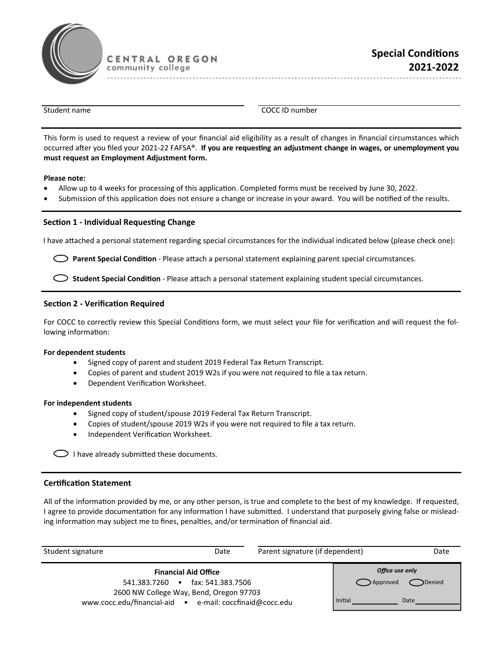

CENTRAL OREGON community college

. . . . . . . . . . . . .

Student name **COCC ID** number

This form is used to request a review of your financial aid eligibility as a result of changes in financial circumstances which occurred after you filed your 2021-22 FAFSA®. If you are requesting an adjustment change in wages, or unemployment you **must request an Employment Adjustment form.**

### **Please note:**

- Allow up to 4 weeks for processing of this application. Completed forms must be received by June 30, 2022.
- Submission of this application does not ensure a change or increase in your award. You will be notified of the results.

# **Section 1 - Individual Requesting Change**

I have attached a personal statement regarding special circumstances for the individual indicated below (please check one):

**Parent Special Condition** - Please attach a personal statement explaining parent special circumstances.

**Student Special Condition** - Please attach a personal statement explaining student special circumstances.

# **Section 2 - Verification Required**

For COCC to correctly review this Special Conditions form, we must select your file for verification and will request the following information:

### **For dependent students**

- Signed copy of parent and student 2019 Federal Tax Return Transcript.
- Copies of parent and student 2019 W2s if you were not required to file a tax return.
- Dependent Verification Worksheet.

### **For independent students**

- Signed copy of student/spouse 2019 Federal Tax Return Transcript.
- Copies of student/spouse 2019 W2s if you were not required to file a tax return.
- Independent Verification Worksheet.

 $\bigcirc$  I have already submitted these documents.

### **Certification Statement**

All of the information provided by me, or any other person, is true and complete to the best of my knowledge. If requested, I agree to provide documentation for any information I have submitted. I understand that purposely giving false or misleading information may subject me to fines, penalties, and/or termination of financial aid.

| Student signature                                        | Date                                                                                                       | Parent signature (if dependent) |                                        | Date                  |
|----------------------------------------------------------|------------------------------------------------------------------------------------------------------------|---------------------------------|----------------------------------------|-----------------------|
| www.cocc.edu/financial-aid • e-mail: coccfinaid@cocc.edu | <b>Financial Aid Office</b><br>541.383.7260 • fax: 541.383.7506<br>2600 NW College Way, Bend, Oregon 97703 |                                 | Office use only<br>Approved<br>Initial | <b>Denied</b><br>Date |